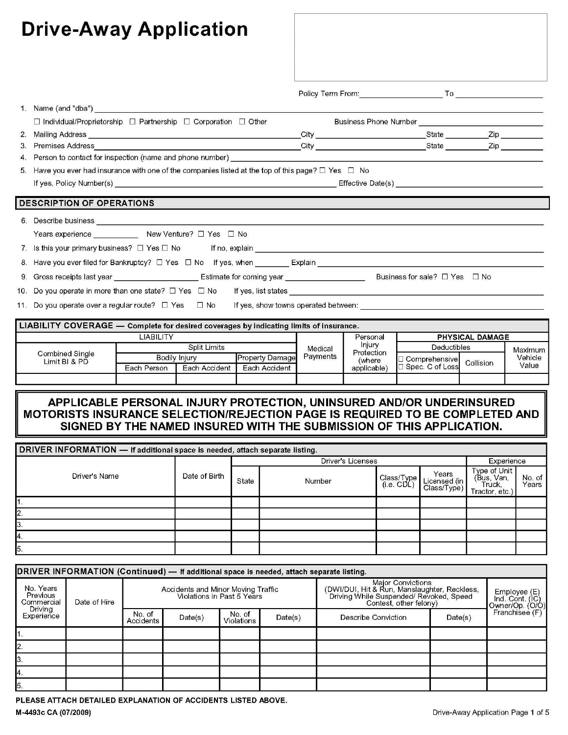| <b>Drive-Away Application</b>                                                                                                                                                                                                                                                               |             |                                                       |                                         |                     |                                                                                                                                                                                                                                |                                                                  |                                                                                                                                                                                                                                |                             |
|---------------------------------------------------------------------------------------------------------------------------------------------------------------------------------------------------------------------------------------------------------------------------------------------|-------------|-------------------------------------------------------|-----------------------------------------|---------------------|--------------------------------------------------------------------------------------------------------------------------------------------------------------------------------------------------------------------------------|------------------------------------------------------------------|--------------------------------------------------------------------------------------------------------------------------------------------------------------------------------------------------------------------------------|-----------------------------|
|                                                                                                                                                                                                                                                                                             |             |                                                       |                                         |                     | Policy Term From: Note that the state of the state of the state of the state of the state of the state of the state of the state of the state of the state of the state of the state of the state of the state of the state of |                                                                  | To the contract of the contract of the contract of the contract of the contract of the contract of the contract of the contract of the contract of the contract of the contract of the contract of the contract of the contrac |                             |
| Name (and "dba") and the control of the control of the control of the control of the control of the control of the control of the control of the control of the control of the control of the control of the control of the co                                                              |             |                                                       |                                         |                     |                                                                                                                                                                                                                                |                                                                  |                                                                                                                                                                                                                                |                             |
| $\Box$ Individual/Proprietorship $\Box$ Partnership $\Box$ Corporation $\Box$ Other                                                                                                                                                                                                         |             |                                                       |                                         |                     | Business Phone Number                                                                                                                                                                                                          |                                                                  |                                                                                                                                                                                                                                |                             |
| Mailing Address <b>Mailing</b> Address <b>Mailing</b> Address <b>Mailing</b> Address <b>Mailing</b> Address <b>Mailing</b> Address <b>Mailing</b> Address <b>Mailing</b> Address <b>Mailing</b> Address <b>Mailing</b> Address <b>Mailing</b> Address <b>Mailing</b> Address <b>Mailing</b> |             |                                                       |                                         | City                |                                                                                                                                                                                                                                | State                                                            | Zip                                                                                                                                                                                                                            |                             |
| Premises Address<br>3.                                                                                                                                                                                                                                                                      |             |                                                       |                                         | City                |                                                                                                                                                                                                                                | State                                                            | Zip                                                                                                                                                                                                                            |                             |
| Person to contact for inspection (name and phone number) _____<br>4.                                                                                                                                                                                                                        |             |                                                       |                                         |                     |                                                                                                                                                                                                                                |                                                                  |                                                                                                                                                                                                                                |                             |
| Have you ever had insurance with one of the companies listed at the top of this page? $\Box$ Yes $\Box$ No<br>5.                                                                                                                                                                            |             |                                                       |                                         |                     |                                                                                                                                                                                                                                |                                                                  |                                                                                                                                                                                                                                |                             |
| If yes, Policy Number(s) the contract of the contract of the contract of the contract of the contract of the contract of the contract of the contract of the contract of the contract of the contract of the contract of the c                                                              |             |                                                       |                                         |                     | Effective Date(s)                                                                                                                                                                                                              |                                                                  |                                                                                                                                                                                                                                |                             |
| <b>DESCRIPTION OF OPERATIONS</b><br>Describe business<br>6.<br>Years experience _____________ New Venture? □ Yes □ No                                                                                                                                                                       |             |                                                       |                                         |                     |                                                                                                                                                                                                                                |                                                                  |                                                                                                                                                                                                                                |                             |
| Gross receipts last year _______________________________Estimate for coming year ___________________________________Business for sale? □ Yes □ No<br>9.                                                                                                                                     |             |                                                       |                                         |                     |                                                                                                                                                                                                                                |                                                                  |                                                                                                                                                                                                                                |                             |
|                                                                                                                                                                                                                                                                                             |             |                                                       |                                         |                     |                                                                                                                                                                                                                                |                                                                  |                                                                                                                                                                                                                                |                             |
| 11. Do you operate over a regular route? □ Yes □ No If yes, show towns operated between: ____________________________                                                                                                                                                                       |             |                                                       |                                         |                     |                                                                                                                                                                                                                                |                                                                  |                                                                                                                                                                                                                                |                             |
| LIABILITY COVERAGE - Complete for desired coverages by indicating limits of insurance.                                                                                                                                                                                                      |             |                                                       |                                         |                     |                                                                                                                                                                                                                                |                                                                  |                                                                                                                                                                                                                                |                             |
|                                                                                                                                                                                                                                                                                             | LIABILITY   |                                                       |                                         |                     | Personal                                                                                                                                                                                                                       |                                                                  | PHYSICAL DAMAGE                                                                                                                                                                                                                |                             |
| Combined Single<br>Limit BI & PD                                                                                                                                                                                                                                                            | Each Person | <b>Split Limits</b><br>Bodily Injury<br>Each Accident | <b>Property Damage</b><br>Each Accident | Medical<br>Payments | Injury<br>Protection<br>(where<br>applicable)                                                                                                                                                                                  | Deductibles<br>Comprehensive Collision<br>$\Box$ Spec. C of Loss |                                                                                                                                                                                                                                | Maximur<br>Vehicle<br>Value |
|                                                                                                                                                                                                                                                                                             |             |                                                       |                                         |                     |                                                                                                                                                                                                                                |                                                                  |                                                                                                                                                                                                                                |                             |

# APPLICABLE PERSONAL INJURY PROTECTION, UNINSURED AND/OR UNDERINSURED<br>MOTORISTS INSURANCE SELECTION/REJECTION PAGE IS REQUIRED TO BE COMPLETED AND SIGNED BY THE NAMED INSURED WITH THE SUBMISSION OF THIS APPLICATION.

| DRIVER INFORMATION - If additional space is needed, attach separate listing. |  |       |                   |                          |                       |                                                         |                 |  |
|------------------------------------------------------------------------------|--|-------|-------------------|--------------------------|-----------------------|---------------------------------------------------------|-----------------|--|
|                                                                              |  |       | Driver's Licenses | Experience               |                       |                                                         |                 |  |
| Driver's Name<br>Date of Birth                                               |  | State | Number            | Class/Type<br>(i.e. CDL) | Years<br>Licensed (in | Type of Unit<br>(Bus, Van,<br>Truck,<br>Tractor, etc.)' | No. of<br>Years |  |
| 1.                                                                           |  |       |                   |                          |                       |                                                         |                 |  |
| 2.                                                                           |  |       |                   |                          |                       |                                                         |                 |  |
| 3.                                                                           |  |       |                   |                          |                       |                                                         |                 |  |
| 4.                                                                           |  |       |                   |                          |                       |                                                         |                 |  |
| 5.                                                                           |  |       |                   |                          |                       |                                                         |                 |  |

| DRIVER INFORMATION (Continued) - If additional space is needed, attach separate listing. |              |                                                                  |         |                      |         |                                                                                                                                        |                                                                      |  |
|------------------------------------------------------------------------------------------|--------------|------------------------------------------------------------------|---------|----------------------|---------|----------------------------------------------------------------------------------------------------------------------------------------|----------------------------------------------------------------------|--|
| No. Years<br>Previous<br>Commercial                                                      | Date of Hire | Accidents and Minor Moving Traffic<br>Violations in Past 5 Years |         |                      |         | Major Convictions<br>(DWI/DUI, Hit & Run, Manslaughter, Reckless,<br>Driving While Suspended/ Revoked, Speed<br>Contest, other felony) | Employee (E)<br>Ind. Cont. (IC)<br>Owner/Op. (O/O)<br>Franchisee (F) |  |
| Driving<br>Experience                                                                    |              | No. of<br>Accidents                                              | Date(s) | No. of<br>Violations | Date(s) | Describe Conviction                                                                                                                    | Date(s)                                                              |  |
|                                                                                          |              |                                                                  |         |                      |         |                                                                                                                                        |                                                                      |  |
| 2.                                                                                       |              |                                                                  |         |                      |         |                                                                                                                                        |                                                                      |  |
| 3.                                                                                       |              |                                                                  |         |                      |         |                                                                                                                                        |                                                                      |  |
| Α.                                                                                       |              |                                                                  |         |                      |         |                                                                                                                                        |                                                                      |  |
| 5.                                                                                       |              |                                                                  |         |                      |         |                                                                                                                                        |                                                                      |  |

PLEASE ATTACH DETAILED EXPLANATION OF ACCIDENTS LISTED ABOVE.

M-4493c CA (07/2009)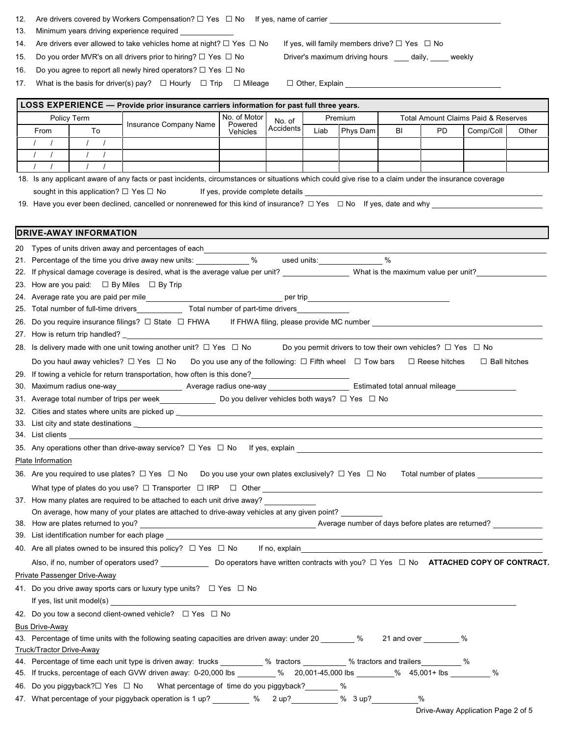| 12. | Are drivers covered by Workers Compensation? $\Box$ Yes $\Box$ No If yes, name of carrier $\Box$                                                                                                                                     |                               |                                                                                                                                                                                                                                      |          |  |      |          |                                                                       |     |                     |       |
|-----|--------------------------------------------------------------------------------------------------------------------------------------------------------------------------------------------------------------------------------------|-------------------------------|--------------------------------------------------------------------------------------------------------------------------------------------------------------------------------------------------------------------------------------|----------|--|------|----------|-----------------------------------------------------------------------|-----|---------------------|-------|
| 13. | Minimum years driving experience required _____________                                                                                                                                                                              |                               |                                                                                                                                                                                                                                      |          |  |      |          |                                                                       |     |                     |       |
| 14. |                                                                                                                                                                                                                                      |                               | Are drivers ever allowed to take vehicles home at night? $\Box$ Yes $\Box$ No                                                                                                                                                        |          |  |      |          | If yes, will family members drive? $\square$ Yes $\square$ No         |     |                     |       |
| 15. | Driver's maximum driving hours ____ daily, ____ weekly<br>Do you order MVR's on all drivers prior to hiring? $\Box$ Yes $\Box$ No                                                                                                    |                               |                                                                                                                                                                                                                                      |          |  |      |          |                                                                       |     |                     |       |
| 16. |                                                                                                                                                                                                                                      |                               | Do you agree to report all newly hired operators? $\Box$ Yes $\Box$ No                                                                                                                                                               |          |  |      |          |                                                                       |     |                     |       |
| 17. |                                                                                                                                                                                                                                      |                               | What is the basis for driver(s) pay? $\Box$ Hourly $\Box$ Trip $\Box$ Mileage                                                                                                                                                        |          |  |      |          |                                                                       |     |                     |       |
|     |                                                                                                                                                                                                                                      |                               |                                                                                                                                                                                                                                      |          |  |      |          |                                                                       |     |                     |       |
|     | LOSS EXPERIENCE - Provide prior insurance carriers information for past full three years.                                                                                                                                            |                               |                                                                                                                                                                                                                                      |          |  |      |          |                                                                       |     |                     |       |
|     | No. of Motor<br><b>Total Amount Claims Paid &amp; Reserves</b><br>Policy Term<br>Premium<br>No. of<br>Insurance Company Name<br>Powered<br>Accidents                                                                                 |                               |                                                                                                                                                                                                                                      |          |  |      |          |                                                                       |     |                     |       |
|     | From<br>$1 \quad 1$                                                                                                                                                                                                                  | To<br>$\sqrt{1}$              |                                                                                                                                                                                                                                      | Vehicles |  | Liab | Phys Dam | BI                                                                    | PD. | Comp/Coll           | Other |
|     | $\sqrt{1}$                                                                                                                                                                                                                           | $\sqrt{1}$                    |                                                                                                                                                                                                                                      |          |  |      |          |                                                                       |     |                     |       |
|     | $1 \quad 1 \quad$                                                                                                                                                                                                                    | $\sqrt{2}$<br>$\sqrt{ }$      |                                                                                                                                                                                                                                      |          |  |      |          |                                                                       |     |                     |       |
|     |                                                                                                                                                                                                                                      |                               | 18. Is any applicant aware of any facts or past incidents, circumstances or situations which could give rise to a claim under the insurance coverage                                                                                 |          |  |      |          |                                                                       |     |                     |       |
|     |                                                                                                                                                                                                                                      |                               | sought in this application? □ Yes □ No                                                                                                                                                                                               |          |  |      |          |                                                                       |     |                     |       |
|     |                                                                                                                                                                                                                                      |                               |                                                                                                                                                                                                                                      |          |  |      |          |                                                                       |     |                     |       |
|     |                                                                                                                                                                                                                                      |                               |                                                                                                                                                                                                                                      |          |  |      |          |                                                                       |     |                     |       |
|     |                                                                                                                                                                                                                                      | <b>DRIVE-AWAY INFORMATION</b> |                                                                                                                                                                                                                                      |          |  |      |          |                                                                       |     |                     |       |
|     |                                                                                                                                                                                                                                      |                               |                                                                                                                                                                                                                                      |          |  |      |          |                                                                       |     |                     |       |
|     |                                                                                                                                                                                                                                      |                               | 20 Types of units driven away and percentages of each <b>contract and all the set of the set of the set of the set of the set of the set of the set of the set of the set of the set of the set of the set of the set of the set</b> |          |  |      |          |                                                                       |     |                     |       |
|     |                                                                                                                                                                                                                                      |                               | 21. Percentage of the time you drive away new units: ____________% used units: _______________%                                                                                                                                      |          |  |      |          |                                                                       |     |                     |       |
|     |                                                                                                                                                                                                                                      |                               | 22. If physical damage coverage is desired, what is the average value per unit? ___________________ What is the maximum value per unit?                                                                                              |          |  |      |          |                                                                       |     |                     |       |
|     | 23. How are you paid: $\Box$ By Miles $\Box$ By Trip                                                                                                                                                                                 |                               |                                                                                                                                                                                                                                      |          |  |      |          |                                                                       |     |                     |       |
|     |                                                                                                                                                                                                                                      |                               | 25. Total number of full-time drivers______________ Total number of part-time drivers_                                                                                                                                               |          |  |      |          |                                                                       |     |                     |       |
|     |                                                                                                                                                                                                                                      |                               |                                                                                                                                                                                                                                      |          |  |      |          |                                                                       |     |                     |       |
|     |                                                                                                                                                                                                                                      |                               | 26. Do you require insurance filings? □ State □ FHWA if FHWA filing, please provide MC number                                                                                                                                        |          |  |      |          |                                                                       |     |                     |       |
|     |                                                                                                                                                                                                                                      |                               |                                                                                                                                                                                                                                      |          |  |      |          |                                                                       |     |                     |       |
|     |                                                                                                                                                                                                                                      |                               | 28. Is delivery made with one unit towing another unit? $\Box$ Yes $\Box$ No                                                                                                                                                         |          |  |      |          | Do you permit drivers to tow their own vehicles? $\Box$ Yes $\Box$ No |     |                     |       |
|     |                                                                                                                                                                                                                                      |                               | Do you haul away vehicles? $\Box$ Yes $\Box$ No Do you use any of the following: $\Box$ Fifth wheel $\Box$ Tow bars $\Box$ Reese hitches                                                                                             |          |  |      |          |                                                                       |     | $\Box$ Ball hitches |       |
|     |                                                                                                                                                                                                                                      |                               |                                                                                                                                                                                                                                      |          |  |      |          |                                                                       |     |                     |       |
|     |                                                                                                                                                                                                                                      |                               | 30. Maximum radius one-way __________________ Average radius one-way _______________________ Estimated total annual mileage ___________                                                                                              |          |  |      |          |                                                                       |     |                     |       |
|     |                                                                                                                                                                                                                                      |                               | 31. Average total number of trips per week__________________ Do you deliver vehicles both ways? □ Yes □ No                                                                                                                           |          |  |      |          |                                                                       |     |                     |       |
|     |                                                                                                                                                                                                                                      |                               | 32. Cities and states where units are picked up ______                                                                                                                                                                               |          |  |      |          |                                                                       |     |                     |       |
|     |                                                                                                                                                                                                                                      |                               |                                                                                                                                                                                                                                      |          |  |      |          |                                                                       |     |                     |       |
|     | 34. List clients <u>example and the set of the set of the set of the set of the set of the set of the set of the set of the set of the set of the set of the set of the set of the set of the set of the set of the set of the s</u> |                               |                                                                                                                                                                                                                                      |          |  |      |          |                                                                       |     |                     |       |
|     | Plate Information                                                                                                                                                                                                                    |                               |                                                                                                                                                                                                                                      |          |  |      |          |                                                                       |     |                     |       |
|     |                                                                                                                                                                                                                                      |                               |                                                                                                                                                                                                                                      |          |  |      |          |                                                                       |     |                     |       |
|     |                                                                                                                                                                                                                                      |                               |                                                                                                                                                                                                                                      |          |  |      |          |                                                                       |     |                     |       |
|     |                                                                                                                                                                                                                                      |                               |                                                                                                                                                                                                                                      |          |  |      |          |                                                                       |     |                     |       |
|     | 37. How many plates are required to be attached to each unit drive away?<br>On average, how many of your plates are attached to drive-away vehicles at any given point?                                                              |                               |                                                                                                                                                                                                                                      |          |  |      |          |                                                                       |     |                     |       |
|     |                                                                                                                                                                                                                                      |                               |                                                                                                                                                                                                                                      |          |  |      |          |                                                                       |     |                     |       |
|     |                                                                                                                                                                                                                                      |                               |                                                                                                                                                                                                                                      |          |  |      |          |                                                                       |     |                     |       |
|     | 40. Are all plates owned to be insured this policy? $\Box$ Yes $\Box$ No If no, explain explosion explosion explaing the set of the set of the set of the set of the set of the set of the set of the set of the set of the set of   |                               |                                                                                                                                                                                                                                      |          |  |      |          |                                                                       |     |                     |       |
|     |                                                                                                                                                                                                                                      |                               | Also, if no, number of operators used? _________________ Do operators have written contracts with you? □ Yes □ No ATTACHED COPY OF CONTRACT.                                                                                         |          |  |      |          |                                                                       |     |                     |       |
|     |                                                                                                                                                                                                                                      | Private Passenger Drive-Away  |                                                                                                                                                                                                                                      |          |  |      |          |                                                                       |     |                     |       |
|     |                                                                                                                                                                                                                                      |                               |                                                                                                                                                                                                                                      |          |  |      |          |                                                                       |     |                     |       |
|     | 41. Do you drive away sports cars or luxury type units? $\Box$ Yes $\Box$ No                                                                                                                                                         |                               |                                                                                                                                                                                                                                      |          |  |      |          |                                                                       |     |                     |       |
|     | If yes, list unit model(s) $\qquad \qquad$<br>42. Do you tow a second client-owned vehicle? $\Box$ Yes $\Box$ No                                                                                                                     |                               |                                                                                                                                                                                                                                      |          |  |      |          |                                                                       |     |                     |       |
|     | <b>Bus Drive-Away</b>                                                                                                                                                                                                                |                               |                                                                                                                                                                                                                                      |          |  |      |          |                                                                       |     |                     |       |
|     |                                                                                                                                                                                                                                      |                               | 43. Percentage of time units with the following seating capacities are driven away: under 20 ______ % 21 and over ______ %                                                                                                           |          |  |      |          |                                                                       |     |                     |       |
|     | Truck/Tractor Drive-Away                                                                                                                                                                                                             |                               |                                                                                                                                                                                                                                      |          |  |      |          |                                                                       |     |                     |       |
|     |                                                                                                                                                                                                                                      |                               | 44. Percentage of time each unit type is driven away: trucks _________ % tractors ________ % tractors and trailers _______ %                                                                                                         |          |  |      |          |                                                                       |     |                     |       |
|     | $\%$<br>45. If trucks, percentage of each GVW driven away: 0-20,000 lbs<br>% 20,001-45,000 lbs       % 45,001+ lbs                                                                                                                   |                               |                                                                                                                                                                                                                                      |          |  |      |          |                                                                       |     |                     |       |

46. Do you piggyback?□ Yes □ No What percentage of time do you piggyback? \_\_\_\_\_\_ %

47. What percentage of your piggyback operation is 1 up? \_\_\_\_\_\_\_\_ % 2 up? \_\_\_\_\_\_\_\_\_ % 3 up? \_\_\_\_\_\_\_\_\_\_\_%

Drive-Away Application Page 2 of 5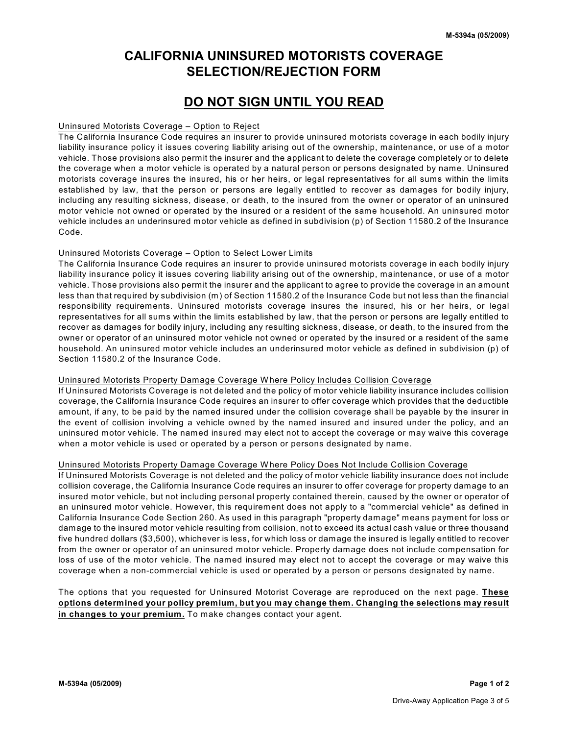# **CALIFORNIA UNINSURED MOTORISTS COVERAGE SELECTION/REJECTION FORM**

# **DO NOT SIGN UNTIL YOU READ**

### Uninsured Motorists Coverage – Option to Reject

The California Insurance Code requires an insurer to provide uninsured motorists coverage in each bodily injury liability insurance policy it issues covering liability arising out of the ownership, maintenance, or use of a motor vehicle. Those provisions also permit the insurer and the applicant to delete the coverage completely or to delete the coverage when a motor vehicle is operated by a natural person or persons designated by name. Uninsured motorists coverage insures the insured, his or her heirs, or legal representatives for all sums within the limits established by law, that the person or persons are legally entitled to recover as damages for bodily injury, including any resulting sickness, disease, or death, to the insured from the owner or operator of an uninsured motor vehicle not owned or operated by the insured or a resident of the same household. An uninsured motor vehicle includes an underinsured motor vehicle as defined in subdivision (p) of Section 11580.2 of the Insurance Code.

### Uninsured Motorists Coverage – Option to Select Lower Limits

The California Insurance Code requires an insurer to provide uninsured motorists coverage in each bodily injury liability insurance policy it issues covering liability arising out of the ownership, maintenance, or use of a motor vehicle. Those provisions also permit the insurer and the applicant to agree to provide the coverage in an amount less than that required by subdivision (m) of Section 11580.2 of the Insurance Code but not less than the financial responsibility requirements. Uninsured motorists coverage insures the insured, his or her heirs, or legal representatives for all sums within the limits established by law, that the person or persons are legally entitled to recover as damages for bodily injury, including any resulting sickness, disease, or death, to the insured from the owner or operator of an uninsured motor vehicle not owned or operated by the insured or a resident of the same household. An uninsured motor vehicle includes an underinsured motor vehicle as defined in subdivision (p) of Section 11580.2 of the Insurance Code.

### Uninsured Motorists Property Damage Coverage W here Policy Includes Collision Coverage

If Uninsured Motorists Coverage is not deleted and the policy of motor vehicle liability insurance includes collision coverage, the California Insurance Code requires an insurer to offer coverage which provides that the deductible amount, if any, to be paid by the named insured under the collision coverage shall be payable by the insurer in the event of collision involving a vehicle owned by the named insured and insured under the policy, and an uninsured motor vehicle. The named insured may elect not to accept the coverage or may waive this coverage when a motor vehicle is used or operated by a person or persons designated by name.

### Uninsured Motorists Property Damage Coverage W here Policy Does Not Include Collision Coverage

If Uninsured Motorists Coverage is not deleted and the policy of motor vehicle liability insurance does not include collision coverage, the California Insurance Code requires an insurer to offer coverage for property damage to an insured motor vehicle, but not including personal property contained therein, caused by the owner or operator of an uninsured motor vehicle. However, this requirement does not apply to a "commercial vehicle" as defined in California Insurance Code Section 260. As used in this paragraph "property damage" means payment for loss or damage to the insured motor vehicle resulting from collision, not to exceed its actual cash value or three thousand five hundred dollars (\$3,500), whichever is less, for which loss or damage the insured is legally entitled to recover from the owner or operator of an uninsured motor vehicle. Property damage does not include compensation for loss of use of the motor vehicle. The named insured may elect not to accept the coverage or may waive this coverage when a non-commercial vehicle is used or operated by a person or persons designated by name.

The options that you requested for Uninsured Motorist Coverage are reproduced on the next page. **These options determined your policy premium, but you may change them. Changing the selections may result in changes to your premium.** To make changes contact your agent.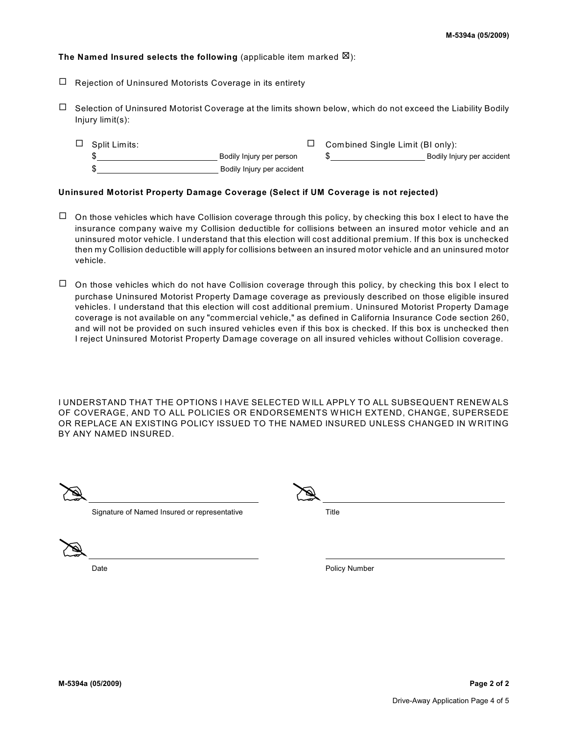## **The Named Insured selects the following** (applicable item marked  $\boxtimes$ ):

- $\Box$  Rejection of Uninsured Motorists Coverage in its entirety
- $\Box$  Selection of Uninsured Motorist Coverage at the limits shown below, which do not exceed the Liability Bodily Injury limit(s):
	- $\Box$  Split Limits:  $\Box$  Combined Single Limit (BI only):  $\hskip1cm$  Bodily Injury per person  $\hskip1cm \text{\$}$   $\hskip1cm \text{\$}$  Bodily Injury per accident \$ Bodily Injury per accident

#### **Uninsured Motorist Property Damage Coverage (Select if UM Coverage is not rejected)**

- $\Box$  On those vehicles which have Collision coverage through this policy, by checking this box I elect to have the insurance company waive my Collision deductible for collisions between an insured motor vehicle and an uninsured motor vehicle. I understand that this election will cost additional premium. If this box is unchecked then my Collision deductible will apply for collisions between an insured motor vehicle and an uninsured motor vehicle.
- $\Box$  On those vehicles which do not have Collision coverage through this policy, by checking this box I elect to purchase Uninsured Motorist Property Damage coverage as previously described on those eligible insured vehicles. I understand that this election will cost additional premium. Uninsured Motorist Property Damage coverage is not available on any "commercial vehicle," as defined in California Insurance Code section 260, and will not be provided on such insured vehicles even if this box is checked. If this box is unchecked then I reject Uninsured Motorist Property Damage coverage on all insured vehicles without Collision coverage.

I UNDERSTAND THAT THE OPTIONS I HAVE SELECTED W ILL APPLY TO ALL SUBSEQUENT RENEW ALS OF COVERAGE, AND TO ALL POLICIES OR ENDORSEMENTS W HICH EXTEND, CHANGE, SUPERSEDE OR REPLACE AN EXISTING POLICY ISSUED TO THE NAMED INSURED UNLESS CHANGED IN WRITING BY ANY NAMED INSURED.

| $\bullet$<br>v<br>$\sim$ $\sim$<br>حصا | $\overline{\phantom{a}}$<br>$-$ |
|----------------------------------------|---------------------------------|
|                                        |                                 |

Signature of Named Insured or representative Title

@

Date **Date Policy Number Policy Number Policy Number**